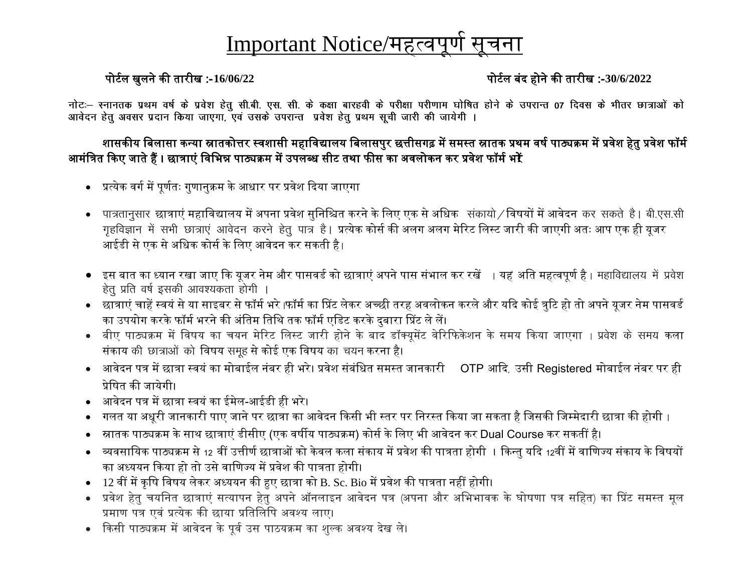# Important Notice/महत्वपूर्ण

### पोर्णल खुलने की तारीख :- **16/06/22** पोर्णल बंद होने की तारीख :- **30/6/2022**

नोटः— स्नानतक प्रथम वर्ष के प्रवेश हेतू सी.बी. एस. सी. के कक्षा बारहवी के परीक्षा परीणाम घोषित होने के उपरान्त 07 दिवस के भीतर छात्राओं को आवेदन हेतू अवसर प्रदान किया जाएगा, एवं उसके उपरान्त प्रवेश हेतू प्रथम सूची जारी की जायेगी ।

#### शासकीय बिलासा कन्या स्नातकोत्तर स्वशासी महाविद्यालय बिलासपुर छत्तीसगढ़ में समस्त स्नातक प्रथम वर्ष पाठ्यक्रम में प्रवेश हेतु प्रवेश फॉर्म आमंत्रित किए जाते हैं । छात्राएं विभिन्न पाठ्यक्रम में उपलब्ध सीट तथा फीस का अवलोकन कर प्रवेश फॉर्म भ**रें**

- प्रत्येक वर्ग में पूर्णतः गुणानुक्रम के आधार पर प्रवेश दिया जाएगा
- ∙ पात्रतानुसार छात्राएं महाविद्यालय में अपना प्रवेश सुनिश्चित करने के लिए एक से अधिक संकायो ⁄ विषयों में आवेदन कर सकते है । बी.एस.सी गृहविज्ञान में सभी छात्राएं आवेदन करने हेतु पात्र है । प्रत्येक कोर्स की अलग अलग मेरिट लिस्ट जारी की जाएगी अतः आप एक ही यूजर आईडी से एक से अधिक कोर्स के लिए आवेदन कर सकती है।
- इस बात का ध्यान रखा जाए कि यूजर नेम और पासवर्ड को छात्राएं अपने पास संभाल कर रखें ⊣ यह अति महत्वपूर्ण है ⊦ महाविद्यालय में प्रवेश हेतु प्रति वर्ष इसकी आवश्यकता होगी
- छात्राएं चाहें स्वयं से या साइबर से फॉर्म भरे <sub>।</sub>फॉर्म का प्रिंट लेकर अच्छी तरह अवलोकन करले और यदि कोई त्रटि हो तो अपने युजर नेम पासवर्ड का उपयोग करके फॉर्म भरने की अंतिम तिथि तक फॉर्म एडिट करके दुबारा प्रिंट ले लें।
- बीए पाठ्यक्रम में विषय का चयन मेरिट लिस्ट जारी होने के बाद डॉक्यूमेंट वेरिफिकेशन के समय किया जाएगा । प्रवेश के समय कला संकाय की छात्राओं को विषय समुह से कोई एक विषय का चयन करना है।
- आवेदन पत्र में छात्रा स्वयं का मोबाईल नंबर ही भरे। प्रवेश संबंधित समस्त जानकारी OTP आदि, उसी Registered मोबाईल नंबर पर ही प्रेबषत की जायेगी।
- अावेदन पत्र में छात्रा स्वयं का ईमेल-आईडी ही भरे।
- गलत या अधूरी जानकारी पाए जाने पर छात्रा का आवेदन किसी भी स्तर पर निरस्त किया जा सकता है जिसकी जिम्मेदारी छात्रा की होगी ।
- स्नातक पाठ्यक्रम के साथ छात्राएं डीसीए (एक वर्षीय पाठ्यक्रम) कोर्स के लिए भी आवेदन कर Dual Course कर सकतीं है।
- व्यवसायिक पाठ्यक्रम से 12 वीं उत्तीर्ण छात्राओं को केवल कला संकाय में प्रवेश की पात्रता होगी । किन्तु यदि 12वीं में वाणिज्य संकाय के विषयों का अध्ययन किया हो तो उसे वाणिज्य में प्रवेश की पात्रता होगी।
- 12 वीं में कृषि विषय लेकर अध्ययन की हुए छात्रा को B. Sc. Bio में प्रवेश की पात्रता नहीं होगी।
- प्रवेश हेतु चयनित छात्राएं सत्यापन हेतु अपने ऑनलाइन आवेदन पत्र (अपना और अभिभावक के घोषणा पत्र सहित) का प्रिंट समस्त मूल प्रमाण पत्र एवं प्रत्येक की छाया प्रतिलिपि अवश्य लाए।
- किसी पाठ्यक्रम में आवेदन के पूर्व उस पाठयक्रम का शुल्क अवश्य देख ले।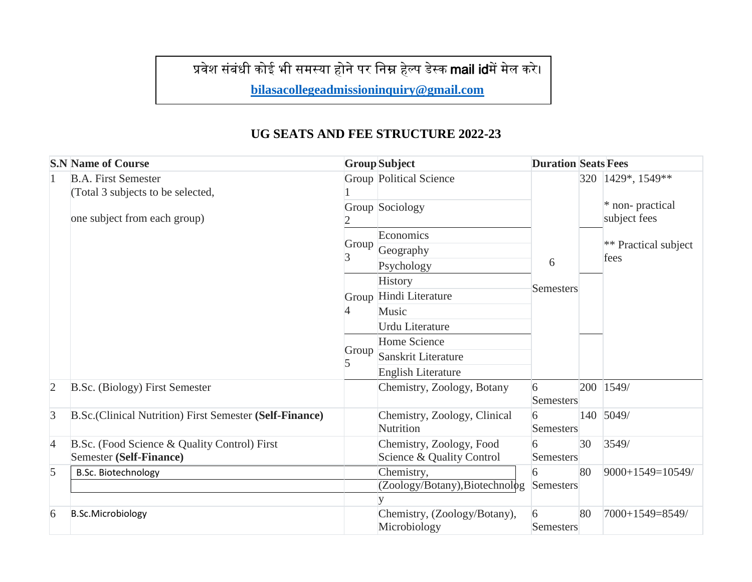## प्रवेश संबंधी कोई भी समस्या होने पर निम्न हेल्प डेस्क mail idमें मेल करे।

**[bilasacollegeadmissioninquiry@gmail.com](mailto:bilasacollegeadmissioninquiry@gmail.com)**

#### **UG SEATS AND FEE STRUCTURE 2022-23**

| <b>S.N Name of Course</b> |                                                                 | <b>Group</b> Subject                         |                                           | <b>Duration Seats Fees</b> |    |                                 |
|---------------------------|-----------------------------------------------------------------|----------------------------------------------|-------------------------------------------|----------------------------|----|---------------------------------|
| $\mathbf{1}$              | <b>B.A. First Semester</b><br>(Total 3 subjects to be selected, |                                              | <b>Group Political Science</b>            |                            |    | 320   1429*, 1549**             |
|                           | one subject from each group)                                    |                                              | Group Sociology                           |                            |    | * non-practical<br>subject fees |
|                           |                                                                 |                                              | Economics                                 |                            |    |                                 |
|                           |                                                                 | Group                                        | Geography                                 |                            |    | ** Practical subject<br>fees    |
|                           |                                                                 |                                              | Psychology                                | 6                          |    |                                 |
|                           |                                                                 |                                              | History                                   | <b>Semesters</b>           |    |                                 |
|                           |                                                                 |                                              | Group Hindi Literature                    |                            |    |                                 |
|                           |                                                                 | 4                                            | Music                                     |                            |    |                                 |
|                           |                                                                 |                                              | <b>Urdu Literature</b>                    |                            |    |                                 |
|                           |                                                                 |                                              | Home Science                              |                            |    |                                 |
|                           |                                                                 | Group<br>5                                   | Sanskrit Literature                       |                            |    |                                 |
|                           |                                                                 |                                              | <b>English Literature</b>                 |                            |    |                                 |
| $\overline{2}$            | B.Sc. (Biology) First Semester                                  |                                              | Chemistry, Zoology, Botany                | 6<br>Semesters             |    | 200 1549/                       |
| $\overline{3}$            | B.Sc.(Clinical Nutrition) First Semester (Self-Finance)         |                                              | Chemistry, Zoology, Clinical<br>Nutrition | 6<br>Semesters             |    | 140 5049/                       |
| 4                         | B.Sc. (Food Science & Quality Control) First                    |                                              | Chemistry, Zoology, Food                  | 6                          | 30 | 3549/                           |
|                           | Semester (Self-Finance)                                         |                                              | Science & Quality Control                 | <b>Semesters</b>           |    |                                 |
| 5                         | <b>B.Sc. Biotechnology</b>                                      | Chemistry,<br>(Zoology/Botany), Biotechnolog |                                           | 80<br>6<br>Semesters       |    | 9000+1549=10549/                |
|                           |                                                                 |                                              | y                                         |                            |    |                                 |
| 6                         | <b>B.Sc.Microbiology</b>                                        |                                              | Chemistry, (Zoology/Botany),              | 6                          | 80 | 7000+1549=8549/                 |
|                           |                                                                 |                                              | Microbiology                              | Semesters                  |    |                                 |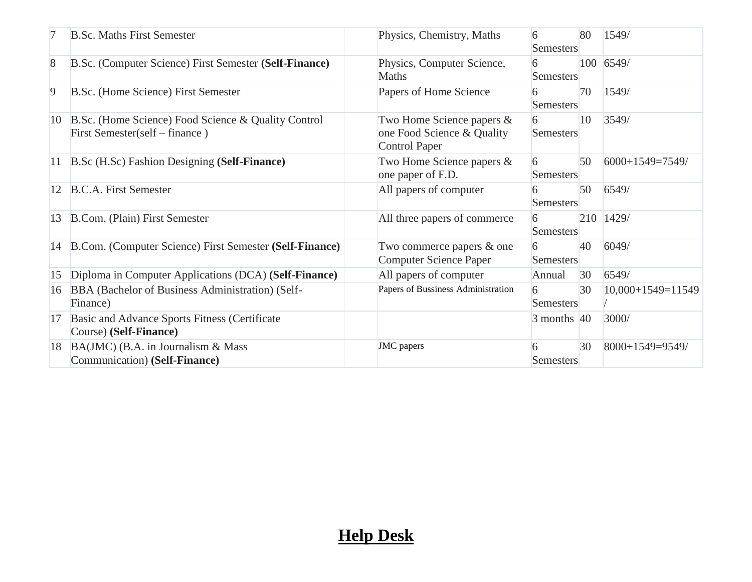|    | <b>B.Sc. Maths First Semester</b>                                                     | Physics, Chemistry, Maths                                                       | 6<br>Semesters        | 80 | 1549/               |
|----|---------------------------------------------------------------------------------------|---------------------------------------------------------------------------------|-----------------------|----|---------------------|
| 8  | B.Sc. (Computer Science) First Semester (Self-Finance)                                | Physics, Computer Science,<br><b>Maths</b>                                      | 6<br>Semesters        |    | 100 6549/           |
| 9  | B.Sc. (Home Science) First Semester                                                   | Papers of Home Science                                                          | 6<br><b>Semesters</b> | 70 | 1549/               |
| 10 | B.Sc. (Home Science) Food Science & Quality Control<br>First Semester(self – finance) | Two Home Science papers &<br>one Food Science & Quality<br><b>Control Paper</b> | 6<br>Semesters        | 10 | 3549/               |
|    | 11 B.Sc (H.Sc) Fashion Designing (Self-Finance)                                       | Two Home Science papers &<br>one paper of F.D.                                  | 6<br><b>Semesters</b> | 50 | 6000+1549=7549/     |
| 12 | <b>B.C.A.</b> First Semester                                                          | All papers of computer                                                          | 6<br>Semesters        | 50 | 6549/               |
| 13 | B.Com. (Plain) First Semester                                                         | All three papers of commerce                                                    | 6<br>Semesters        |    | 210 1429/           |
|    | 14 B.Com. (Computer Science) First Semester (Self-Finance)                            | Two commerce papers & one<br><b>Computer Science Paper</b>                      | 6<br>Semesters        | 40 | 6049/               |
| 15 | Diploma in Computer Applications (DCA) (Self-Finance)                                 | All papers of computer                                                          | Annual                | 30 | 6549/               |
| 16 | BBA (Bachelor of Business Administration) (Self-<br>Finance)                          | Papers of Bussiness Administration                                              | 6<br><b>Semesters</b> | 30 | $10,000+1549=11549$ |
| 17 | Basic and Advance Sports Fitness (Certificate<br>Course) (Self-Finance)               |                                                                                 | $3$ months $ 40$      |    | 3000/               |
| 18 | $BA(JMC)$ (B.A. in Journalism & Mass<br>Communication) (Self-Finance)                 | <b>JMC</b> papers                                                               | 6<br>Semesters        | 30 | 8000+1549=9549/     |

## **Help Desk**